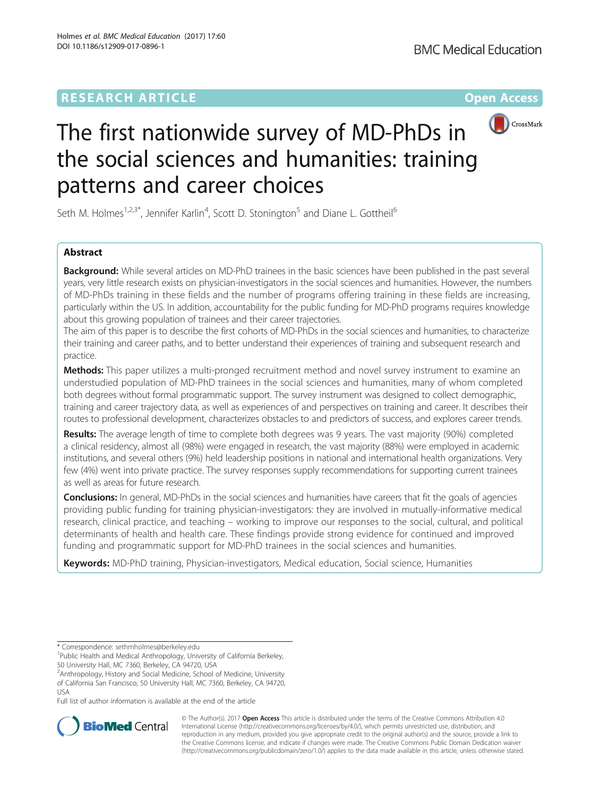## **RESEARCH ARTICLE Example 2014 The Contract of Contract Contract Contract Contract Contract Contract Contract Contract Contract Contract Contract Contract Contract Contract Contract Contract Contract Contract Contract Co**



# The first nationwide survey of MD-PhDs in the social sciences and humanities: training patterns and career choices

Seth M. Holmes<sup>1,2,3\*</sup>, Jennifer Karlin<sup>4</sup>, Scott D. Stonington<sup>5</sup> and Diane L. Gottheil<sup>6</sup>

## Abstract

**Background:** While several articles on MD-PhD trainees in the basic sciences have been published in the past several years, very little research exists on physician-investigators in the social sciences and humanities. However, the numbers of MD-PhDs training in these fields and the number of programs offering training in these fields are increasing, particularly within the US. In addition, accountability for the public funding for MD-PhD programs requires knowledge about this growing population of trainees and their career trajectories.

The aim of this paper is to describe the first cohorts of MD-PhDs in the social sciences and humanities, to characterize their training and career paths, and to better understand their experiences of training and subsequent research and practice.

Methods: This paper utilizes a multi-pronged recruitment method and novel survey instrument to examine an understudied population of MD-PhD trainees in the social sciences and humanities, many of whom completed both degrees without formal programmatic support. The survey instrument was designed to collect demographic, training and career trajectory data, as well as experiences of and perspectives on training and career. It describes their routes to professional development, characterizes obstacles to and predictors of success, and explores career trends.

Results: The average length of time to complete both degrees was 9 years. The vast majority (90%) completed a clinical residency, almost all (98%) were engaged in research, the vast majority (88%) were employed in academic institutions, and several others (9%) held leadership positions in national and international health organizations. Very few (4%) went into private practice. The survey responses supply recommendations for supporting current trainees as well as areas for future research.

**Conclusions:** In general, MD-PhDs in the social sciences and humanities have careers that fit the goals of agencies providing public funding for training physician-investigators: they are involved in mutually-informative medical research, clinical practice, and teaching – working to improve our responses to the social, cultural, and political determinants of health and health care. These findings provide strong evidence for continued and improved funding and programmatic support for MD-PhD trainees in the social sciences and humanities.

Keywords: MD-PhD training, Physician-investigators, Medical education, Social science, Humanities

\* Correspondence: [sethmholmes@berkeley.edu](mailto:sethmholmes@berkeley.edu) <sup>1</sup>

<sup>1</sup>Public Health and Medical Anthropology, University of California Berkeley,

50 University Hall, MC 7360, Berkeley, CA 94720, USA

<sup>2</sup> Anthropology, History and Social Medicine, School of Medicine, University of California San Francisco, 50 University Hall, MC 7360, Berkeley, CA 94720, USA

Full list of author information is available at the end of the article



© The Author(s). 2017 **Open Access** This article is distributed under the terms of the Creative Commons Attribution 4.0 International License [\(http://creativecommons.org/licenses/by/4.0/](http://creativecommons.org/licenses/by/4.0/)), which permits unrestricted use, distribution, and reproduction in any medium, provided you give appropriate credit to the original author(s) and the source, provide a link to the Creative Commons license, and indicate if changes were made. The Creative Commons Public Domain Dedication waiver [\(http://creativecommons.org/publicdomain/zero/1.0/](http://creativecommons.org/publicdomain/zero/1.0/)) applies to the data made available in this article, unless otherwise stated.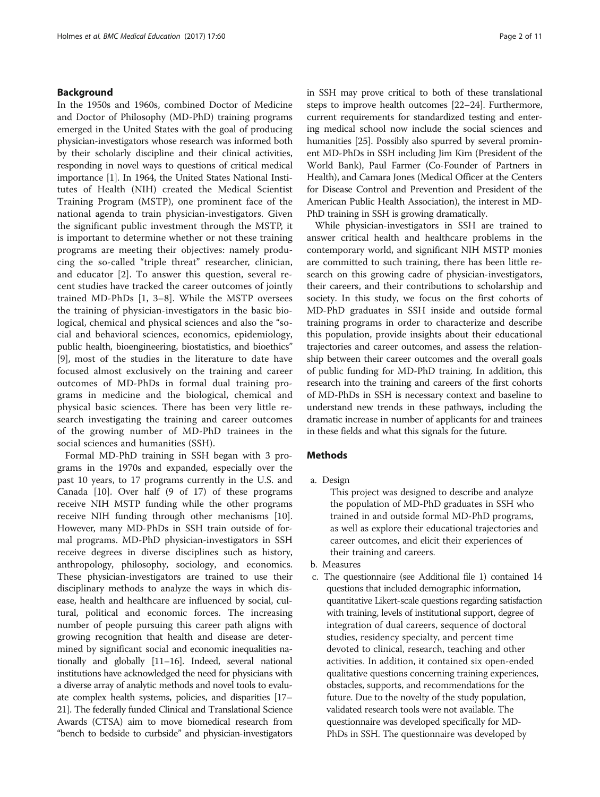## Background

In the 1950s and 1960s, combined Doctor of Medicine and Doctor of Philosophy (MD-PhD) training programs emerged in the United States with the goal of producing physician-investigators whose research was informed both by their scholarly discipline and their clinical activities, responding in novel ways to questions of critical medical importance [[1](#page-9-0)]. In 1964, the United States National Institutes of Health (NIH) created the Medical Scientist Training Program (MSTP), one prominent face of the national agenda to train physician-investigators. Given the significant public investment through the MSTP, it is important to determine whether or not these training programs are meeting their objectives: namely producing the so-called "triple threat" researcher, clinician, and educator [\[2](#page-9-0)]. To answer this question, several recent studies have tracked the career outcomes of jointly trained MD-PhDs [\[1](#page-9-0), [3](#page-9-0)–[8\]](#page-9-0). While the MSTP oversees the training of physician-investigators in the basic biological, chemical and physical sciences and also the "social and behavioral sciences, economics, epidemiology, public health, bioengineering, biostatistics, and bioethics" [[9\]](#page-9-0), most of the studies in the literature to date have focused almost exclusively on the training and career outcomes of MD-PhDs in formal dual training programs in medicine and the biological, chemical and physical basic sciences. There has been very little research investigating the training and career outcomes of the growing number of MD-PhD trainees in the social sciences and humanities (SSH).

Formal MD-PhD training in SSH began with 3 programs in the 1970s and expanded, especially over the past 10 years, to 17 programs currently in the U.S. and Canada [\[10\]](#page-9-0). Over half (9 of 17) of these programs receive NIH MSTP funding while the other programs receive NIH funding through other mechanisms [\[10](#page-9-0)]. However, many MD-PhDs in SSH train outside of formal programs. MD-PhD physician-investigators in SSH receive degrees in diverse disciplines such as history, anthropology, philosophy, sociology, and economics. These physician-investigators are trained to use their disciplinary methods to analyze the ways in which disease, health and healthcare are influenced by social, cultural, political and economic forces. The increasing number of people pursuing this career path aligns with growing recognition that health and disease are determined by significant social and economic inequalities nationally and globally [\[11](#page-9-0)–[16\]](#page-9-0). Indeed, several national institutions have acknowledged the need for physicians with a diverse array of analytic methods and novel tools to evaluate complex health systems, policies, and disparities [\[17](#page-9-0)– [21](#page-10-0)]. The federally funded Clinical and Translational Science Awards (CTSA) aim to move biomedical research from "bench to bedside to curbside" and physician-investigators in SSH may prove critical to both of these translational steps to improve health outcomes [\[22](#page-10-0)–[24](#page-10-0)]. Furthermore, current requirements for standardized testing and entering medical school now include the social sciences and humanities [\[25](#page-10-0)]. Possibly also spurred by several prominent MD-PhDs in SSH including Jim Kim (President of the World Bank), Paul Farmer (Co-Founder of Partners in Health), and Camara Jones (Medical Officer at the Centers for Disease Control and Prevention and President of the American Public Health Association), the interest in MD-PhD training in SSH is growing dramatically.

While physician-investigators in SSH are trained to answer critical health and healthcare problems in the contemporary world, and significant NIH MSTP monies are committed to such training, there has been little research on this growing cadre of physician-investigators, their careers, and their contributions to scholarship and society. In this study, we focus on the first cohorts of MD-PhD graduates in SSH inside and outside formal training programs in order to characterize and describe this population, provide insights about their educational trajectories and career outcomes, and assess the relationship between their career outcomes and the overall goals of public funding for MD-PhD training. In addition, this research into the training and careers of the first cohorts of MD-PhDs in SSH is necessary context and baseline to understand new trends in these pathways, including the dramatic increase in number of applicants for and trainees in these fields and what this signals for the future.

## Methods

a. Design

This project was designed to describe and analyze the population of MD-PhD graduates in SSH who trained in and outside formal MD-PhD programs, as well as explore their educational trajectories and career outcomes, and elicit their experiences of their training and careers.

- b. Measures
- c. The questionnaire (see Additional file [1](#page-9-0)) contained 14 questions that included demographic information, quantitative Likert-scale questions regarding satisfaction with training, levels of institutional support, degree of integration of dual careers, sequence of doctoral studies, residency specialty, and percent time devoted to clinical, research, teaching and other activities. In addition, it contained six open-ended qualitative questions concerning training experiences, obstacles, supports, and recommendations for the future. Due to the novelty of the study population, validated research tools were not available. The questionnaire was developed specifically for MD-PhDs in SSH. The questionnaire was developed by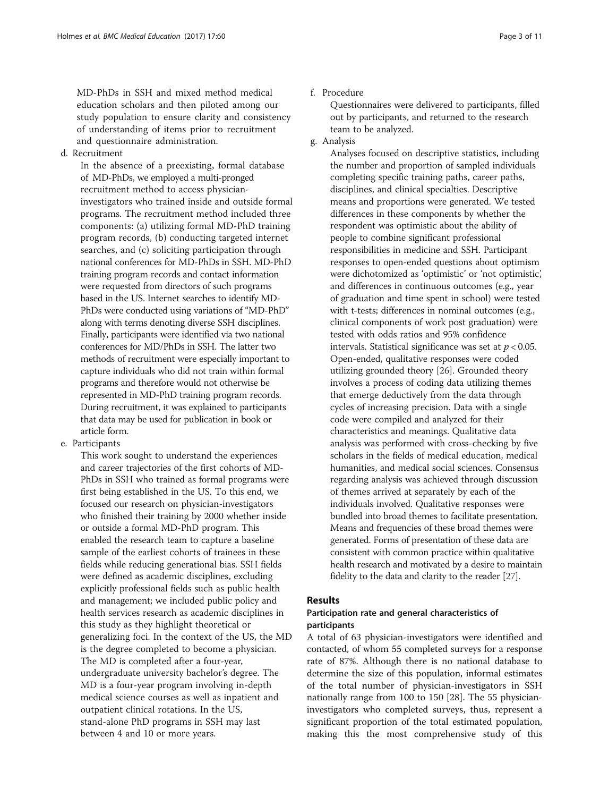MD-PhDs in SSH and mixed method medical education scholars and then piloted among our study population to ensure clarity and consistency of understanding of items prior to recruitment and questionnaire administration.

d. Recruitment

In the absence of a preexisting, formal database of MD-PhDs, we employed a multi-pronged recruitment method to access physicianinvestigators who trained inside and outside formal programs. The recruitment method included three components: (a) utilizing formal MD-PhD training program records, (b) conducting targeted internet searches, and (c) soliciting participation through national conferences for MD-PhDs in SSH. MD-PhD training program records and contact information were requested from directors of such programs based in the US. Internet searches to identify MD-PhDs were conducted using variations of "MD-PhD" along with terms denoting diverse SSH disciplines. Finally, participants were identified via two national conferences for MD/PhDs in SSH. The latter two methods of recruitment were especially important to capture individuals who did not train within formal programs and therefore would not otherwise be represented in MD-PhD training program records. During recruitment, it was explained to participants that data may be used for publication in book or article form.

e. Participants

This work sought to understand the experiences and career trajectories of the first cohorts of MD-PhDs in SSH who trained as formal programs were first being established in the US. To this end, we focused our research on physician-investigators who finished their training by 2000 whether inside or outside a formal MD-PhD program. This enabled the research team to capture a baseline sample of the earliest cohorts of trainees in these fields while reducing generational bias. SSH fields were defined as academic disciplines, excluding explicitly professional fields such as public health and management; we included public policy and health services research as academic disciplines in this study as they highlight theoretical or generalizing foci. In the context of the US, the MD is the degree completed to become a physician. The MD is completed after a four-year, undergraduate university bachelor's degree. The MD is a four-year program involving in-depth medical science courses as well as inpatient and outpatient clinical rotations. In the US, stand-alone PhD programs in SSH may last between 4 and 10 or more years.

f. Procedure

Questionnaires were delivered to participants, filled out by participants, and returned to the research team to be analyzed.

g. Analysis

Analyses focused on descriptive statistics, including the number and proportion of sampled individuals completing specific training paths, career paths, disciplines, and clinical specialties. Descriptive means and proportions were generated. We tested differences in these components by whether the respondent was optimistic about the ability of people to combine significant professional responsibilities in medicine and SSH. Participant responses to open-ended questions about optimism were dichotomized as 'optimistic' or 'not optimistic', and differences in continuous outcomes (e.g., year of graduation and time spent in school) were tested with t-tests; differences in nominal outcomes (e.g., clinical components of work post graduation) were tested with odds ratios and 95% confidence intervals. Statistical significance was set at  $p < 0.05$ . Open-ended, qualitative responses were coded utilizing grounded theory [[26](#page-10-0)]. Grounded theory involves a process of coding data utilizing themes that emerge deductively from the data through cycles of increasing precision. Data with a single code were compiled and analyzed for their characteristics and meanings. Qualitative data analysis was performed with cross-checking by five scholars in the fields of medical education, medical humanities, and medical social sciences. Consensus regarding analysis was achieved through discussion of themes arrived at separately by each of the individuals involved. Qualitative responses were bundled into broad themes to facilitate presentation. Means and frequencies of these broad themes were generated. Forms of presentation of these data are consistent with common practice within qualitative health research and motivated by a desire to maintain fidelity to the data and clarity to the reader [\[27\]](#page-10-0).

## Results

## Participation rate and general characteristics of participants

A total of 63 physician-investigators were identified and contacted, of whom 55 completed surveys for a response rate of 87%. Although there is no national database to determine the size of this population, informal estimates of the total number of physician-investigators in SSH nationally range from 100 to 150 [[28](#page-10-0)]. The 55 physicianinvestigators who completed surveys, thus, represent a significant proportion of the total estimated population, making this the most comprehensive study of this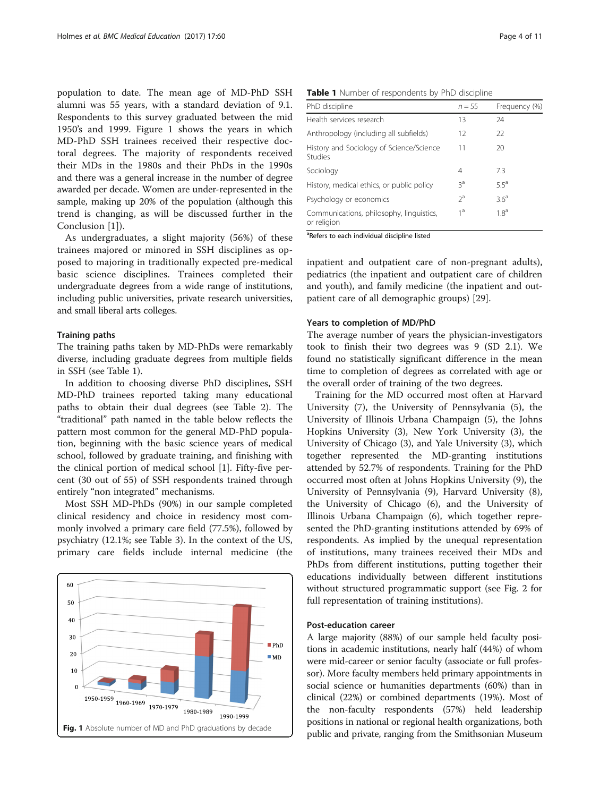population to date. The mean age of MD-PhD SSH alumni was 55 years, with a standard deviation of 9.1. Respondents to this survey graduated between the mid 1950's and 1999. Figure 1 shows the years in which MD-PhD SSH trainees received their respective doctoral degrees. The majority of respondents received their MDs in the 1980s and their PhDs in the 1990s and there was a general increase in the number of degree awarded per decade. Women are under-represented in the sample, making up 20% of the population (although this trend is changing, as will be discussed further in the Conclusion [[1](#page-9-0)]).

As undergraduates, a slight majority (56%) of these trainees majored or minored in SSH disciplines as opposed to majoring in traditionally expected pre-medical basic science disciplines. Trainees completed their undergraduate degrees from a wide range of institutions, including public universities, private research universities, and small liberal arts colleges.

#### Training paths

The training paths taken by MD-PhDs were remarkably diverse, including graduate degrees from multiple fields in SSH (see Table 1).

In addition to choosing diverse PhD disciplines, SSH MD-PhD trainees reported taking many educational paths to obtain their dual degrees (see Table [2\)](#page-4-0). The "traditional" path named in the table below reflects the pattern most common for the general MD-PhD population, beginning with the basic science years of medical school, followed by graduate training, and finishing with the clinical portion of medical school [\[1](#page-9-0)]. Fifty-five percent (30 out of 55) of SSH respondents trained through entirely "non integrated" mechanisms.

Most SSH MD-PhDs (90%) in our sample completed clinical residency and choice in residency most commonly involved a primary care field (77.5%), followed by psychiatry (12.1%; see Table [3\)](#page-4-0). In the context of the US, primary care fields include internal medicine (the



|  |  |  | Table 1 Number of respondents by PhD discipline |
|--|--|--|-------------------------------------------------|
|--|--|--|-------------------------------------------------|

| PhD discipline                                          | $n = 55$       | Frequency (%)    |
|---------------------------------------------------------|----------------|------------------|
| Health services research                                | 13             | 24               |
| Anthropology (including all subfields)                  | 12             | 22               |
| History and Sociology of Science/Science<br>Studies     | 11             | 20               |
| Sociology                                               | 4              | 7.3              |
| History, medical ethics, or public policy               | ζg             | $55^a$           |
| Psychology or economics                                 | $2^a$          | 3.6 <sup>a</sup> |
| Communications, philosophy, linguistics,<br>or religion | 1 <sup>d</sup> | 1.8 <sup>a</sup> |

<sup>a</sup>Refers to each individual discipline listed

inpatient and outpatient care of non-pregnant adults), pediatrics (the inpatient and outpatient care of children and youth), and family medicine (the inpatient and outpatient care of all demographic groups) [\[29](#page-10-0)].

#### Years to completion of MD/PhD

The average number of years the physician-investigators took to finish their two degrees was 9 (SD 2.1). We found no statistically significant difference in the mean time to completion of degrees as correlated with age or the overall order of training of the two degrees.

Training for the MD occurred most often at Harvard University (7), the University of Pennsylvania (5), the University of Illinois Urbana Champaign (5), the Johns Hopkins University (3), New York University (3), the University of Chicago (3), and Yale University (3), which together represented the MD-granting institutions attended by 52.7% of respondents. Training for the PhD occurred most often at Johns Hopkins University (9), the University of Pennsylvania (9), Harvard University (8), the University of Chicago (6), and the University of Illinois Urbana Champaign (6), which together represented the PhD-granting institutions attended by 69% of respondents. As implied by the unequal representation of institutions, many trainees received their MDs and PhDs from different institutions, putting together their educations individually between different institutions without structured programmatic support (see Fig. [2](#page-5-0) for full representation of training institutions).

## Post-education career

A large majority (88%) of our sample held faculty positions in academic institutions, nearly half (44%) of whom were mid-career or senior faculty (associate or full professor). More faculty members held primary appointments in social science or humanities departments (60%) than in clinical (22%) or combined departments (19%). Most of the non-faculty respondents (57%) held leadership positions in national or regional health organizations, both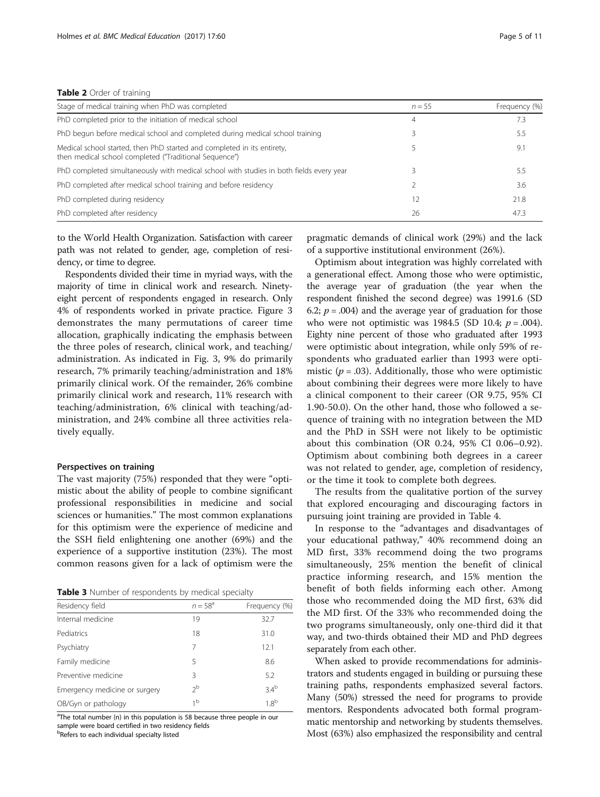<span id="page-4-0"></span>

| Stage of medical training when PhD was completed                                                                                  | $n = 55$ | Frequency (%) |
|-----------------------------------------------------------------------------------------------------------------------------------|----------|---------------|
| PhD completed prior to the initiation of medical school                                                                           | 4        | 7.3           |
| PhD begun before medical school and completed during medical school training                                                      |          | 5.5           |
| Medical school started, then PhD started and completed in its entirety,<br>then medical school completed ("Traditional Sequence") |          | 9.1           |
| PhD completed simultaneously with medical school with studies in both fields every year                                           |          | 5.5           |
| PhD completed after medical school training and before residency                                                                  |          | 3.6           |
| PhD completed during residency                                                                                                    | 12       | 21.8          |
| PhD completed after residency                                                                                                     | 26       | 47.3          |

to the World Health Organization. Satisfaction with career path was not related to gender, age, completion of residency, or time to degree.

Respondents divided their time in myriad ways, with the majority of time in clinical work and research. Ninetyeight percent of respondents engaged in research. Only 4% of respondents worked in private practice. Figure [3](#page-6-0) demonstrates the many permutations of career time allocation, graphically indicating the emphasis between the three poles of research, clinical work, and teaching/ administration. As indicated in Fig. [3](#page-6-0), 9% do primarily research, 7% primarily teaching/administration and 18% primarily clinical work. Of the remainder, 26% combine primarily clinical work and research, 11% research with teaching/administration, 6% clinical with teaching/administration, and 24% combine all three activities relatively equally.

### Perspectives on training

The vast majority (75%) responded that they were "optimistic about the ability of people to combine significant professional responsibilities in medicine and social sciences or humanities." The most common explanations for this optimism were the experience of medicine and the SSH field enlightening one another (69%) and the experience of a supportive institution (23%). The most common reasons given for a lack of optimism were the

| Table 3 Number of respondents by medical specialty |  |  |  |  |  |
|----------------------------------------------------|--|--|--|--|--|
|----------------------------------------------------|--|--|--|--|--|

| Residency field               | $n = 58^{\circ}$ | Frequency (%)    |
|-------------------------------|------------------|------------------|
| Internal medicine             | 19               | 32.7             |
| Pediatrics                    | 18               | 31.0             |
| Psychiatry                    | 7                | 12.1             |
| Family medicine               | 5                | 8.6              |
| Preventive medicine           | 3                | 5.2              |
| Emergency medicine or surgery | 2 <sup>b</sup>   | 3.4 <sup>b</sup> |
| OB/Gyn or pathology           | 1 <sup>b</sup>   | 1.8 <sup>b</sup> |

<sup>a</sup>The total number (n) in this population is 58 because three people in our sample were board certified in two residency fields

**bRefers to each individual specialty listed** 

pragmatic demands of clinical work (29%) and the lack of a supportive institutional environment (26%).

Optimism about integration was highly correlated with a generational effect. Among those who were optimistic, the average year of graduation (the year when the respondent finished the second degree) was 1991.6 (SD 6.2;  $p = .004$ ) and the average year of graduation for those who were not optimistic was 1984.5 (SD 10.4;  $p = .004$ ). Eighty nine percent of those who graduated after 1993 were optimistic about integration, while only 59% of respondents who graduated earlier than 1993 were optimistic ( $p = .03$ ). Additionally, those who were optimistic about combining their degrees were more likely to have a clinical component to their career (OR 9.75, 95% CI 1.90-50.0). On the other hand, those who followed a sequence of training with no integration between the MD and the PhD in SSH were not likely to be optimistic about this combination (OR 0.24, 95% CI 0.06–0.92). Optimism about combining both degrees in a career was not related to gender, age, completion of residency, or the time it took to complete both degrees.

The results from the qualitative portion of the survey that explored encouraging and discouraging factors in pursuing joint training are provided in Table [4](#page-6-0).

In response to the "advantages and disadvantages of your educational pathway," 40% recommend doing an MD first, 33% recommend doing the two programs simultaneously, 25% mention the benefit of clinical practice informing research, and 15% mention the benefit of both fields informing each other. Among those who recommended doing the MD first, 63% did the MD first. Of the 33% who recommended doing the two programs simultaneously, only one-third did it that way, and two-thirds obtained their MD and PhD degrees separately from each other.

When asked to provide recommendations for administrators and students engaged in building or pursuing these training paths, respondents emphasized several factors. Many (50%) stressed the need for programs to provide mentors. Respondents advocated both formal programmatic mentorship and networking by students themselves. Most (63%) also emphasized the responsibility and central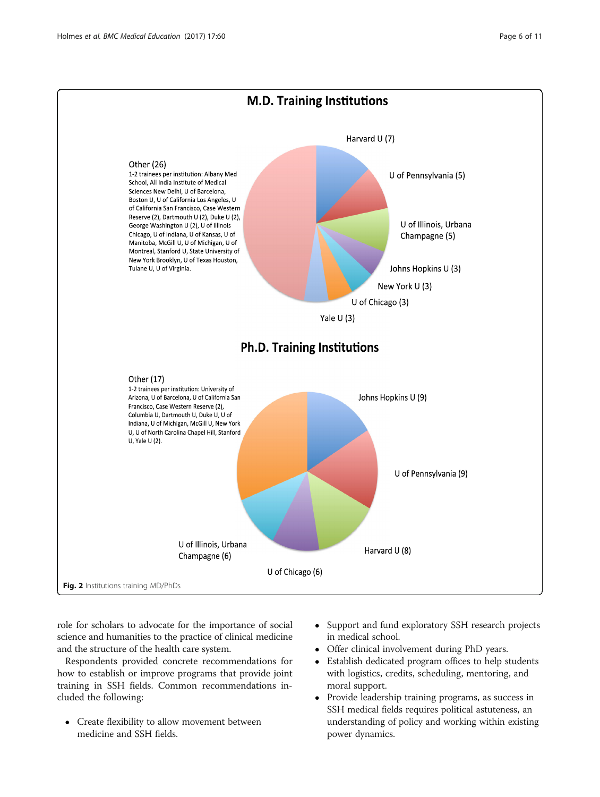<span id="page-5-0"></span>

role for scholars to advocate for the importance of social science and humanities to the practice of clinical medicine and the structure of the health care system.

Respondents provided concrete recommendations for how to establish or improve programs that provide joint training in SSH fields. Common recommendations included the following:

 Create flexibility to allow movement between medicine and SSH fields.

- Support and fund exploratory SSH research projects in medical school.
- Offer clinical involvement during PhD years.
- Establish dedicated program offices to help students with logistics, credits, scheduling, mentoring, and moral support.
- Provide leadership training programs, as success in SSH medical fields requires political astuteness, an understanding of policy and working within existing power dynamics.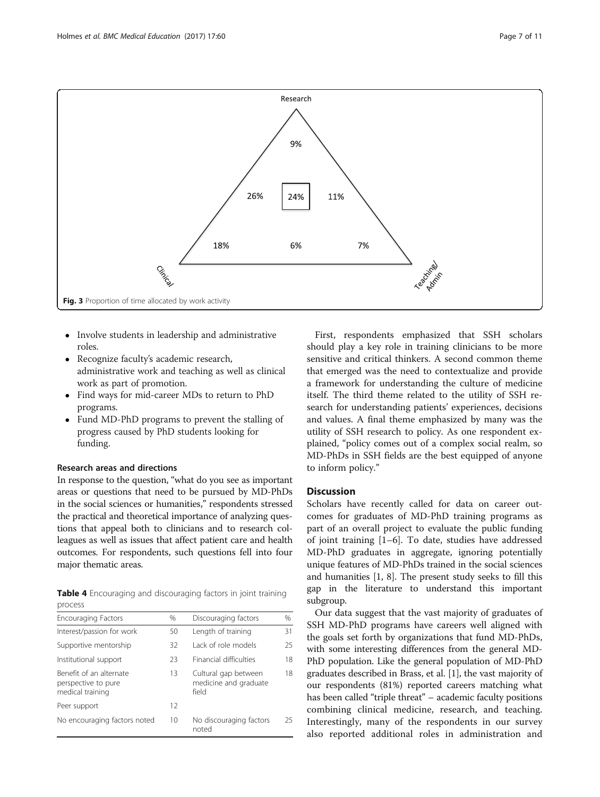<span id="page-6-0"></span>

- Involve students in leadership and administrative roles.
- Recognize faculty's academic research, administrative work and teaching as well as clinical work as part of promotion.
- Find ways for mid-career MDs to return to PhD programs.
- Fund MD-PhD programs to prevent the stalling of progress caused by PhD students looking for funding.

## Research areas and directions

In response to the question, "what do you see as important areas or questions that need to be pursued by MD-PhDs in the social sciences or humanities," respondents stressed the practical and theoretical importance of analyzing questions that appeal both to clinicians and to research colleagues as well as issues that affect patient care and health outcomes. For respondents, such questions fell into four major thematic areas.

|         |  | Table 4 Encouraging and discouraging factors in joint training |  |  |
|---------|--|----------------------------------------------------------------|--|--|
| process |  |                                                                |  |  |

| <b>Encouraging Factors</b>                                         | %  | Discouraging factors                                   | %  |
|--------------------------------------------------------------------|----|--------------------------------------------------------|----|
| Interest/passion for work                                          | 50 | Length of training                                     | 31 |
| Supportive mentorship                                              | 32 | Lack of role models                                    | 25 |
| Institutional support                                              | 23 | <b>Financial difficulties</b>                          | 18 |
| Benefit of an alternate<br>perspective to pure<br>medical training | 13 | Cultural gap between<br>medicine and graduate<br>field | 18 |
| Peer support                                                       | 12 |                                                        |    |
| No encouraging factors noted                                       | 10 | No discouraging factors<br>noted                       | 25 |

First, respondents emphasized that SSH scholars should play a key role in training clinicians to be more sensitive and critical thinkers. A second common theme that emerged was the need to contextualize and provide a framework for understanding the culture of medicine itself. The third theme related to the utility of SSH research for understanding patients' experiences, decisions and values. A final theme emphasized by many was the utility of SSH research to policy. As one respondent explained, "policy comes out of a complex social realm, so MD-PhDs in SSH fields are the best equipped of anyone to inform policy."

## **Discussion**

Scholars have recently called for data on career outcomes for graduates of MD-PhD training programs as part of an overall project to evaluate the public funding of joint training [\[1](#page-9-0)–[6\]](#page-9-0). To date, studies have addressed MD-PhD graduates in aggregate, ignoring potentially unique features of MD-PhDs trained in the social sciences and humanities [[1](#page-9-0), [8\]](#page-9-0). The present study seeks to fill this gap in the literature to understand this important subgroup.

Our data suggest that the vast majority of graduates of SSH MD-PhD programs have careers well aligned with the goals set forth by organizations that fund MD-PhDs, with some interesting differences from the general MD-PhD population. Like the general population of MD-PhD graduates described in Brass, et al. [\[1](#page-9-0)], the vast majority of our respondents (81%) reported careers matching what has been called "triple threat" – academic faculty positions combining clinical medicine, research, and teaching. Interestingly, many of the respondents in our survey also reported additional roles in administration and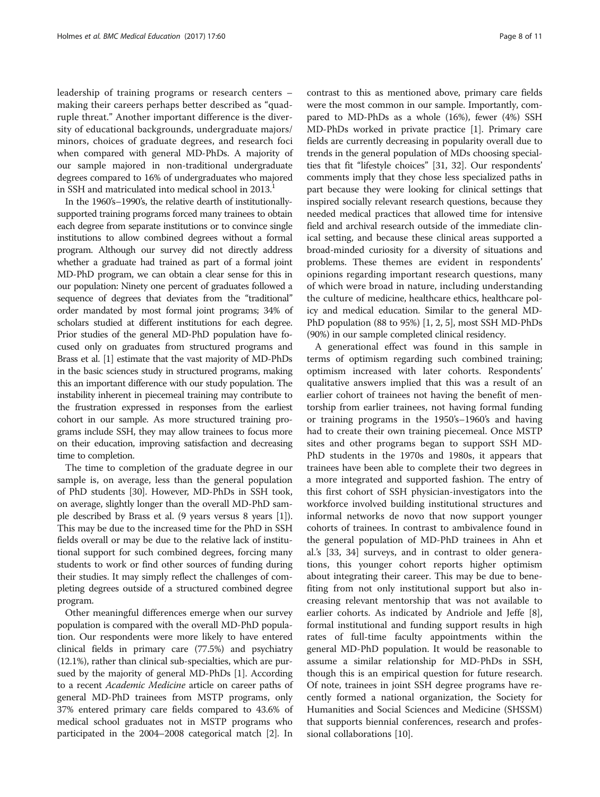leadership of training programs or research centers – making their careers perhaps better described as "quadruple threat." Another important difference is the diversity of educational backgrounds, undergraduate majors/ minors, choices of graduate degrees, and research foci when compared with general MD-PhDs. A majority of our sample majored in non-traditional undergraduate degrees compared to 16% of undergraduates who majored in SSH and matriculated into medical school in 2013.<sup>1</sup>

In the 1960's–1990's, the relative dearth of institutionallysupported training programs forced many trainees to obtain each degree from separate institutions or to convince single institutions to allow combined degrees without a formal program. Although our survey did not directly address whether a graduate had trained as part of a formal joint MD-PhD program, we can obtain a clear sense for this in our population: Ninety one percent of graduates followed a sequence of degrees that deviates from the "traditional" order mandated by most formal joint programs; 34% of scholars studied at different institutions for each degree. Prior studies of the general MD-PhD population have focused only on graduates from structured programs and Brass et al. [\[1\]](#page-9-0) estimate that the vast majority of MD-PhDs in the basic sciences study in structured programs, making this an important difference with our study population. The instability inherent in piecemeal training may contribute to the frustration expressed in responses from the earliest cohort in our sample. As more structured training programs include SSH, they may allow trainees to focus more on their education, improving satisfaction and decreasing time to completion.

The time to completion of the graduate degree in our sample is, on average, less than the general population of PhD students [\[30\]](#page-10-0). However, MD-PhDs in SSH took, on average, slightly longer than the overall MD-PhD sample described by Brass et al. (9 years versus 8 years [\[1](#page-9-0)]). This may be due to the increased time for the PhD in SSH fields overall or may be due to the relative lack of institutional support for such combined degrees, forcing many students to work or find other sources of funding during their studies. It may simply reflect the challenges of completing degrees outside of a structured combined degree program.

Other meaningful differences emerge when our survey population is compared with the overall MD-PhD population. Our respondents were more likely to have entered clinical fields in primary care (77.5%) and psychiatry (12.1%), rather than clinical sub-specialties, which are pursued by the majority of general MD-PhDs [[1](#page-9-0)]. According to a recent Academic Medicine article on career paths of general MD-PhD trainees from MSTP programs, only 37% entered primary care fields compared to 43.6% of medical school graduates not in MSTP programs who participated in the 2004–2008 categorical match [\[2](#page-9-0)]. In

contrast to this as mentioned above, primary care fields were the most common in our sample. Importantly, compared to MD-PhDs as a whole (16%), fewer (4%) SSH MD-PhDs worked in private practice [\[1](#page-9-0)]. Primary care fields are currently decreasing in popularity overall due to trends in the general population of MDs choosing specialties that fit "lifestyle choices" [[31](#page-10-0), [32\]](#page-10-0). Our respondents' comments imply that they chose less specialized paths in part because they were looking for clinical settings that inspired socially relevant research questions, because they needed medical practices that allowed time for intensive field and archival research outside of the immediate clinical setting, and because these clinical areas supported a broad-minded curiosity for a diversity of situations and problems. These themes are evident in respondents' opinions regarding important research questions, many of which were broad in nature, including understanding the culture of medicine, healthcare ethics, healthcare policy and medical education. Similar to the general MD-PhD population (88 to 95%) [[1, 2](#page-9-0), [5\]](#page-9-0), most SSH MD-PhDs (90%) in our sample completed clinical residency.

A generational effect was found in this sample in terms of optimism regarding such combined training; optimism increased with later cohorts. Respondents' qualitative answers implied that this was a result of an earlier cohort of trainees not having the benefit of mentorship from earlier trainees, not having formal funding or training programs in the 1950's–1960's and having had to create their own training piecemeal. Once MSTP sites and other programs began to support SSH MD-PhD students in the 1970s and 1980s, it appears that trainees have been able to complete their two degrees in a more integrated and supported fashion. The entry of this first cohort of SSH physician-investigators into the workforce involved building institutional structures and informal networks de novo that now support younger cohorts of trainees. In contrast to ambivalence found in the general population of MD-PhD trainees in Ahn et al.'s [[33, 34](#page-10-0)] surveys, and in contrast to older generations, this younger cohort reports higher optimism about integrating their career. This may be due to benefiting from not only institutional support but also increasing relevant mentorship that was not available to earlier cohorts. As indicated by Andriole and Jeffe [\[8](#page-9-0)], formal institutional and funding support results in high rates of full-time faculty appointments within the general MD-PhD population. It would be reasonable to assume a similar relationship for MD-PhDs in SSH, though this is an empirical question for future research. Of note, trainees in joint SSH degree programs have recently formed a national organization, the Society for Humanities and Social Sciences and Medicine (SHSSM) that supports biennial conferences, research and professional collaborations [[10\]](#page-9-0).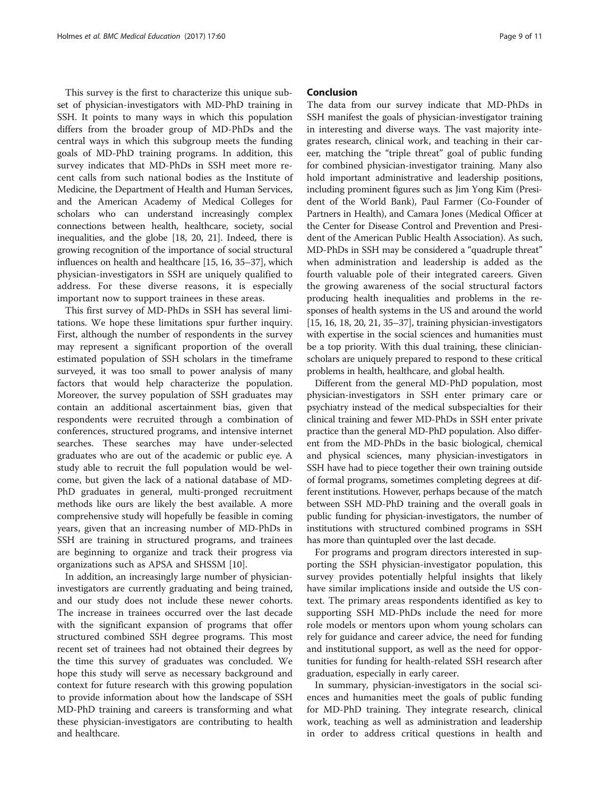This survey is the first to characterize this unique subset of physician-investigators with MD-PhD training in SSH. It points to many ways in which this population differs from the broader group of MD-PhDs and the central ways in which this subgroup meets the funding goals of MD-PhD training programs. In addition, this survey indicates that MD-PhDs in SSH meet more recent calls from such national bodies as the Institute of Medicine, the Department of Health and Human Services, and the American Academy of Medical Colleges for scholars who can understand increasingly complex connections between health, healthcare, society, social inequalities, and the globe [[18,](#page-9-0) [20, 21\]](#page-10-0). Indeed, there is growing recognition of the importance of social structural influences on health and healthcare [[15](#page-9-0), [16,](#page-9-0) [35](#page-10-0)–[37\]](#page-10-0), which physician-investigators in SSH are uniquely qualified to address. For these diverse reasons, it is especially important now to support trainees in these areas.

This first survey of MD-PhDs in SSH has several limitations. We hope these limitations spur further inquiry. First, although the number of respondents in the survey may represent a significant proportion of the overall estimated population of SSH scholars in the timeframe surveyed, it was too small to power analysis of many factors that would help characterize the population. Moreover, the survey population of SSH graduates may contain an additional ascertainment bias, given that respondents were recruited through a combination of conferences, structured programs, and intensive internet searches. These searches may have under-selected graduates who are out of the academic or public eye. A study able to recruit the full population would be welcome, but given the lack of a national database of MD-PhD graduates in general, multi-pronged recruitment methods like ours are likely the best available. A more comprehensive study will hopefully be feasible in coming years, given that an increasing number of MD-PhDs in SSH are training in structured programs, and trainees are beginning to organize and track their progress via organizations such as APSA and SHSSM [\[10](#page-9-0)].

In addition, an increasingly large number of physicianinvestigators are currently graduating and being trained, and our study does not include these newer cohorts. The increase in trainees occurred over the last decade with the significant expansion of programs that offer structured combined SSH degree programs. This most recent set of trainees had not obtained their degrees by the time this survey of graduates was concluded. We hope this study will serve as necessary background and context for future research with this growing population to provide information about how the landscape of SSH MD-PhD training and careers is transforming and what these physician-investigators are contributing to health and healthcare.

## Conclusion

The data from our survey indicate that MD-PhDs in SSH manifest the goals of physician-investigator training in interesting and diverse ways. The vast majority integrates research, clinical work, and teaching in their career, matching the "triple threat" goal of public funding for combined physician-investigator training. Many also hold important administrative and leadership positions, including prominent figures such as Jim Yong Kim (President of the World Bank), Paul Farmer (Co-Founder of Partners in Health), and Camara Jones (Medical Officer at the Center for Disease Control and Prevention and President of the American Public Health Association). As such, MD-PhDs in SSH may be considered a "quadruple threat" when administration and leadership is added as the fourth valuable pole of their integrated careers. Given the growing awareness of the social structural factors producing health inequalities and problems in the responses of health systems in the US and around the world [[15](#page-9-0), [16, 18,](#page-9-0) [20](#page-10-0), [21, 35](#page-10-0)–[37\]](#page-10-0), training physician-investigators with expertise in the social sciences and humanities must be a top priority. With this dual training, these clinicianscholars are uniquely prepared to respond to these critical problems in health, healthcare, and global health.

Different from the general MD-PhD population, most physician-investigators in SSH enter primary care or psychiatry instead of the medical subspecialties for their clinical training and fewer MD-PhDs in SSH enter private practice than the general MD-PhD population. Also different from the MD-PhDs in the basic biological, chemical and physical sciences, many physician-investigators in SSH have had to piece together their own training outside of formal programs, sometimes completing degrees at different institutions. However, perhaps because of the match between SSH MD-PhD training and the overall goals in public funding for physician-investigators, the number of institutions with structured combined programs in SSH has more than quintupled over the last decade.

For programs and program directors interested in supporting the SSH physician-investigator population, this survey provides potentially helpful insights that likely have similar implications inside and outside the US context. The primary areas respondents identified as key to supporting SSH MD-PhDs include the need for more role models or mentors upon whom young scholars can rely for guidance and career advice, the need for funding and institutional support, as well as the need for opportunities for funding for health-related SSH research after graduation, especially in early career.

In summary, physician-investigators in the social sciences and humanities meet the goals of public funding for MD-PhD training. They integrate research, clinical work, teaching as well as administration and leadership in order to address critical questions in health and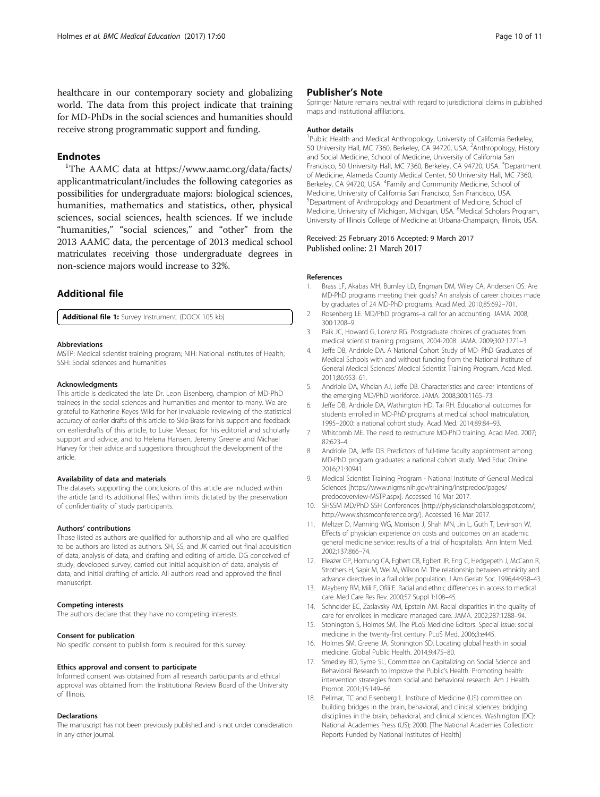<span id="page-9-0"></span>healthcare in our contemporary society and globalizing world. The data from this project indicate that training for MD-PhDs in the social sciences and humanities should receive strong programmatic support and funding.

## **Endnotes**

<sup>1</sup>The AAMC data at https://www.aamc.org/data/facts/ applicantmatriculant/includes the following categories as possibilities for undergraduate majors: biological sciences, humanities, mathematics and statistics, other, physical sciences, social sciences, health sciences. If we include "humanities," "social sciences," and "other" from the 2013 AAMC data, the percentage of 2013 medical school matriculates receiving those undergraduate degrees in non-science majors would increase to 32%.

## Additional file

[Additional file 1:](dx.doi.org/10.1186/s12909-017-0896-1) Survey Instrument. (DOCX 105 kb)

#### **Abbreviations**

MSTP: Medical scientist training program; NIH: National Institutes of Health; SSH: Social sciences and humanities

#### Acknowledgments

This article is dedicated the late Dr. Leon Eisenberg, champion of MD-PhD trainees in the social sciences and humanities and mentor to many. We are grateful to Katherine Keyes Wild for her invaluable reviewing of the statistical accuracy of earlier drafts of this article, to Skip Brass for his support and feedback on earlierdrafts of this article, to Luke Messac for his editorial and scholarly support and advice, and to Helena Hansen, Jeremy Greene and Michael Harvey for their advice and suggestions throughout the development of the article.

#### Availability of data and materials

The datasets supporting the conclusions of this article are included within the article (and its additional files) within limits dictated by the preservation of confidentiality of study participants.

#### Authors' contributions

Those listed as authors are qualified for authorship and all who are qualified to be authors are listed as authors. SH, SS, and JK carried out final acquisition of data, analysis of data, and drafting and editing of article. DG conceived of study, developed survey, carried out initial acquisition of data, analysis of data, and initial drafting of article. All authors read and approved the final manuscript.

#### Competing interests

The authors declare that they have no competing interests.

### Consent for publication

No specific consent to publish form is required for this survey.

#### Ethics approval and consent to participate

Informed consent was obtained from all research participants and ethical approval was obtained from the Institutional Review Board of the University of Illinois.

#### Declarations

The manuscript has not been previously published and is not under consideration in any other journal.

## Publisher's Note

Springer Nature remains neutral with regard to jurisdictional claims in published maps and institutional affiliations.

#### Author details

<sup>1</sup>Public Health and Medical Anthropology, University of California Berkeley 50 University Hall, MC 7360, Berkeley, CA 94720, USA. <sup>2</sup>Anthropology, History and Social Medicine, School of Medicine, University of California San Francisco, 50 University Hall, MC 7360, Berkeley, CA 94720, USA. <sup>3</sup>Department of Medicine, Alameda County Medical Center, 50 University Hall, MC 7360, Berkeley, CA 94720, USA. <sup>4</sup> Family and Community Medicine, School of Medicine, University of California San Francisco, San Francisco, USA. 5 Department of Anthropology and Department of Medicine, School of Medicine, University of Michigan, Michigan, USA. <sup>6</sup>Medical Scholars Program University of Illinois College of Medicine at Urbana-Champaign, Illinois, USA.

### Received: 25 February 2016 Accepted: 9 March 2017 Published online: 21 March 2017

#### References

- 1. Brass LF, Akabas MH, Burnley LD, Engman DM, Wiley CA, Andersen OS. Are MD-PhD programs meeting their goals? An analysis of career choices made by graduates of 24 MD-PhD programs. Acad Med. 2010;85:692–701.
- 2. Rosenberg LE. MD/PhD programs–a call for an accounting. JAMA. 2008; 300:1208–9.
- 3. Paik JC, Howard G, Lorenz RG. Postgraduate choices of graduates from medical scientist training programs, 2004-2008. JAMA. 2009;302:1271–3.
- 4. Jeffe DB, Andriole DA. A National Cohort Study of MD–PhD Graduates of Medical Schools with and without funding from the National Institute of General Medical Sciences' Medical Scientist Training Program. Acad Med. 2011;86:953–61.
- 5. Andriole DA, Whelan AJ, Jeffe DB. Characteristics and career intentions of the emerging MD/PhD workforce. JAMA. 2008;300:1165–73.
- 6. Jeffe DB, Andriole DA, Wathington HD, Tai RH. Educational outcomes for students enrolled in MD-PhD programs at medical school matriculation, 1995–2000: a national cohort study. Acad Med. 2014;89:84–93.
- 7. Whitcomb ME. The need to restructure MD-PhD training. Acad Med. 2007; 82:623–4.
- Andriole DA, Jeffe DB. Predictors of full-time faculty appointment among MD-PhD program graduates: a national cohort study. Med Educ Online. 2016;21:30941.
- 9. Medical Scientist Training Program National Institute of General Medical Sciences [[https://www.nigms.nih.gov/training/instpredoc/pages/](https://www.nigms.nih.gov/training/instpredoc/pages/predocoverview-MSTP.aspx) [predocoverview-MSTP.aspx\]](https://www.nigms.nih.gov/training/instpredoc/pages/predocoverview-MSTP.aspx). Accessed 16 Mar 2017.
- 10. SHSSM MD/PhD SSH Conferences [[http://physicianscholars.blogspot.com/;](http://physicianscholars.blogspot.com/) [http://www.shssmconference.org/\]](http://www.shssmconference.org/). Accessed 16 Mar 2017.
- 11. Meltzer D, Manning WG, Morrison J, Shah MN, Jin L, Guth T, Levinson W. Effects of physician experience on costs and outcomes on an academic general medicine service: results of a trial of hospitalists. Ann Intern Med. 2002;137:866–74.
- 12. Eleazer GP, Hornung CA, Egbert CB, Egbert JR, Eng C, Hedgepeth J, McCann R, Strothers H, Sapir M, Wei M, Wilson M. The relationship between ethnicity and advance directives in a frail older population. J Am Geriatr Soc. 1996;44:938–43.
- 13. Mayberry RM, Mili F, Ofili E. Racial and ethnic differences in access to medical care. Med Care Res Rev. 2000;57 Suppl 1:108–45.
- 14. Schneider EC, Zaslavsky AM, Epstein AM. Racial disparities in the quality of care for enrollees in medicare managed care. JAMA. 2002;287:1288–94.
- 15. Stonington S, Holmes SM, The PLoS Medicine Editors. Special issue: social medicine in the twenty-first century. PLoS Med. 2006;3:e445.
- 16. Holmes SM, Greene JA, Stonington SD. Locating global health in social medicine. Global Public Health. 2014;9:475–80.
- 17. Smedley BD, Syme SL, Committee on Capitalizing on Social Science and Behavioral Research to Improve the Public's Health. Promoting health: intervention strategies from social and behavioral research. Am J Health Promot. 2001;15:149–66.
- 18. Pellmar, TC and Eisenberg L. Institute of Medicine (US) committee on building bridges in the brain, behavioral, and clinical sciences: bridging disciplines in the brain, behavioral, and clinical sciences. Washington (DC): National Academies Press (US); 2000. [The National Academies Collection: Reports Funded by National Institutes of Health]